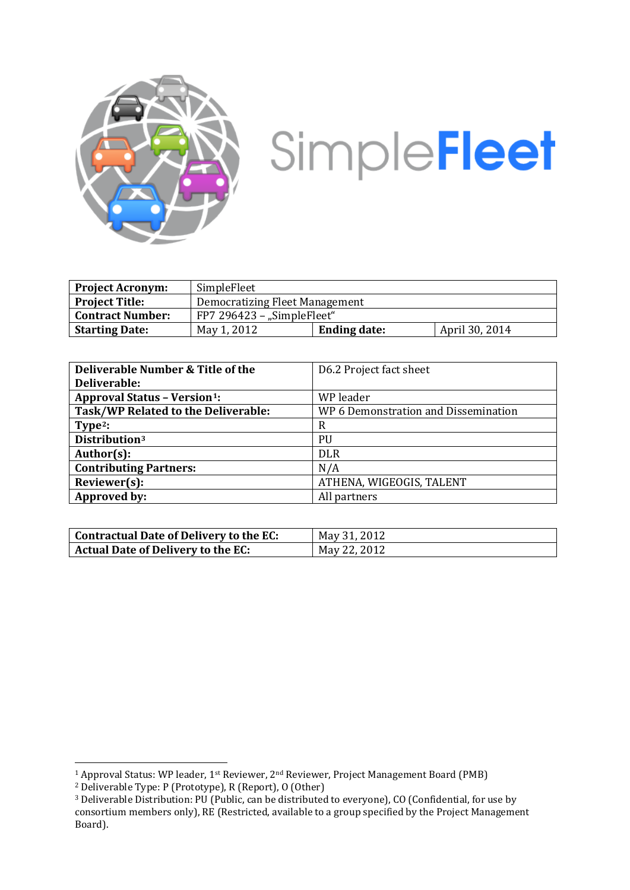

# SimpleFleet

| <b>Project Acronym:</b> | SimpleFleet                    |                     |                |
|-------------------------|--------------------------------|---------------------|----------------|
| <b>Project Title:</b>   | Democratizing Fleet Management |                     |                |
| <b>Contract Number:</b> | $FP7 296423 -$ "SimpleFleet"   |                     |                |
| <b>Starting Date:</b>   | May 1, 2012                    | <b>Ending date:</b> | April 30, 2014 |

| Deliverable Number & Title of the               | D6.2 Project fact sheet              |
|-------------------------------------------------|--------------------------------------|
| Deliverable:                                    |                                      |
| <b>Approval Status - Version</b> <sup>1</sup> : | WP leader                            |
| Task/WP Related to the Deliverable:             | WP 6 Demonstration and Dissemination |
| Type <sup>2</sup> :                             | R                                    |
| Distribution <sup>3</sup>                       | PU                                   |
| Author(s):                                      | <b>DLR</b>                           |
| <b>Contributing Partners:</b>                   | N/A                                  |
| Reviewer(s):                                    | ATHENA, WIGEOGIS, TALENT             |
| Approved by:                                    | All partners                         |

| Contractual Date of Delivery to the EC: | May 31, 2012 |
|-----------------------------------------|--------------|
| Actual Date of Delivery to the EC:      | May 22, 2012 |

<span id="page-0-0"></span> <sup>1</sup> Approval Status: WP leader, 1st Reviewer, 2nd Reviewer, Project Management Board (PMB)

<span id="page-0-1"></span><sup>2</sup> Deliverable Type: P (Prototype), R (Report), O (Other)

<span id="page-0-2"></span><sup>3</sup> Deliverable Distribution: PU (Public, can be distributed to everyone), CO (Confidential, for use by consortium members only), RE (Restricted, available to a group specified by the Project Management Board).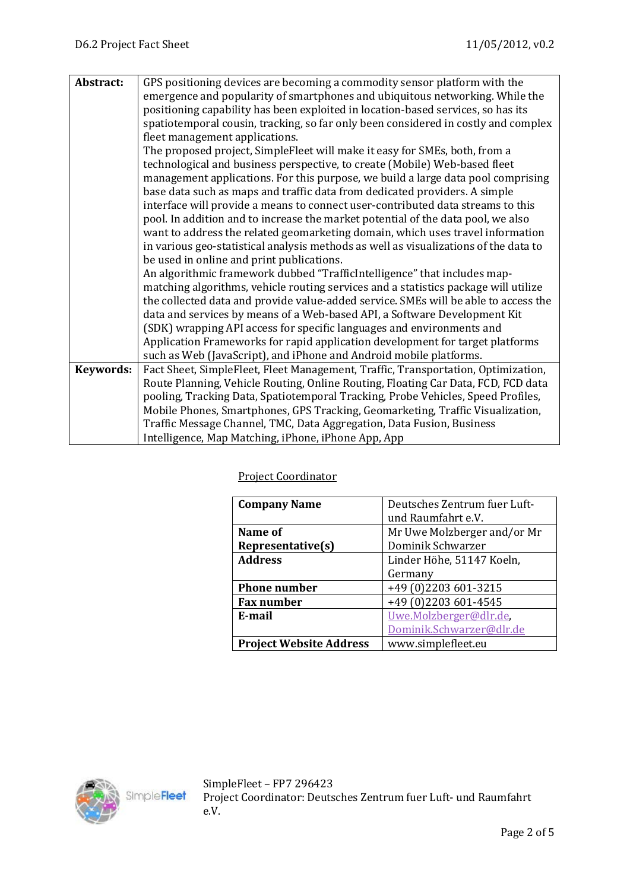| Abstract:        | GPS positioning devices are becoming a commodity sensor platform with the            |  |  |
|------------------|--------------------------------------------------------------------------------------|--|--|
|                  | emergence and popularity of smartphones and ubiquitous networking. While the         |  |  |
|                  | positioning capability has been exploited in location-based services, so has its     |  |  |
|                  | spatiotemporal cousin, tracking, so far only been considered in costly and complex   |  |  |
|                  | fleet management applications.                                                       |  |  |
|                  | The proposed project, SimpleFleet will make it easy for SMEs, both, from a           |  |  |
|                  | technological and business perspective, to create (Mobile) Web-based fleet           |  |  |
|                  | management applications. For this purpose, we build a large data pool comprising     |  |  |
|                  | base data such as maps and traffic data from dedicated providers. A simple           |  |  |
|                  | interface will provide a means to connect user-contributed data streams to this      |  |  |
|                  | pool. In addition and to increase the market potential of the data pool, we also     |  |  |
|                  | want to address the related geomarketing domain, which uses travel information       |  |  |
|                  | in various geo-statistical analysis methods as well as visualizations of the data to |  |  |
|                  | be used in online and print publications.                                            |  |  |
|                  | An algorithmic framework dubbed "TrafficIntelligence" that includes map-             |  |  |
|                  | matching algorithms, vehicle routing services and a statistics package will utilize  |  |  |
|                  | the collected data and provide value-added service. SMEs will be able to access the  |  |  |
|                  | data and services by means of a Web-based API, a Software Development Kit            |  |  |
|                  | (SDK) wrapping API access for specific languages and environments and                |  |  |
|                  | Application Frameworks for rapid application development for target platforms        |  |  |
|                  | such as Web (JavaScript), and iPhone and Android mobile platforms.                   |  |  |
| <b>Keywords:</b> | Fact Sheet, SimpleFleet, Fleet Management, Traffic, Transportation, Optimization,    |  |  |
|                  | Route Planning, Vehicle Routing, Online Routing, Floating Car Data, FCD, FCD data    |  |  |
|                  | pooling, Tracking Data, Spatiotemporal Tracking, Probe Vehicles, Speed Profiles,     |  |  |
|                  | Mobile Phones, Smartphones, GPS Tracking, Geomarketing, Traffic Visualization,       |  |  |
|                  | Traffic Message Channel, TMC, Data Aggregation, Data Fusion, Business                |  |  |
|                  | Intelligence, Map Matching, iPhone, iPhone App, App                                  |  |  |

Project Coordinator

| <b>Company Name</b>            | Deutsches Zentrum fuer Luft- |
|--------------------------------|------------------------------|
|                                | und Raumfahrt e.V.           |
| Name of                        | Mr Uwe Molzberger and/or Mr  |
| Representative(s)              | Dominik Schwarzer            |
| <b>Address</b>                 | Linder Höhe, 51147 Koeln,    |
|                                | Germany                      |
| <b>Phone number</b>            | +49 (0)2203 601-3215         |
| <b>Fax number</b>              | +49 (0)2203 601-4545         |
| E-mail                         | Uwe.Molzberger@dlr.de,       |
|                                | Dominik.Schwarzer@dlr.de     |
| <b>Project Website Address</b> | www.simplefleet.eu           |

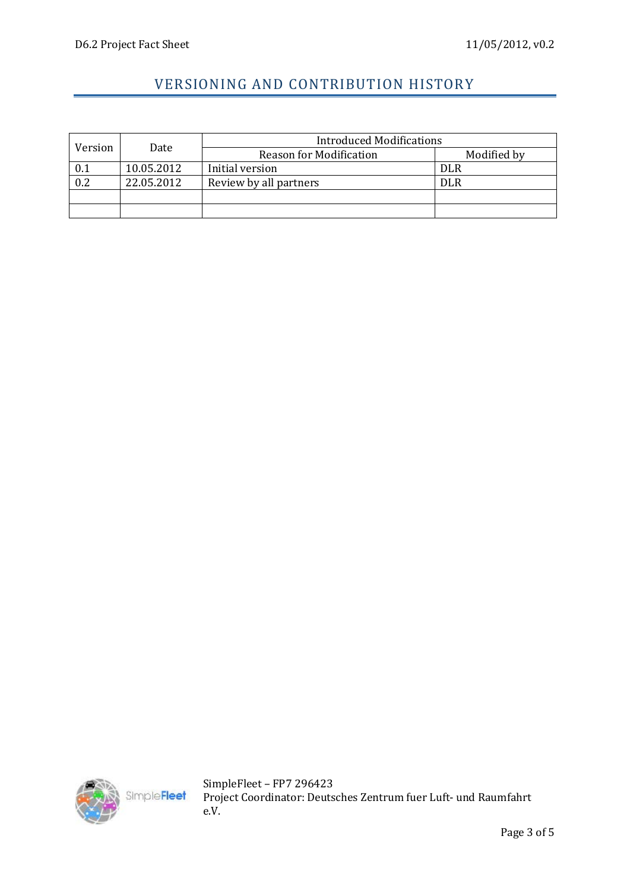## VERSIONING AND CONTRIBUTION HISTORY

| Version | Date       | <b>Introduced Modifications</b> |             |
|---------|------------|---------------------------------|-------------|
|         |            | <b>Reason for Modification</b>  | Modified by |
| 0.1     | 10.05.2012 | Initial version                 | <b>DLR</b>  |
| 0.2     | 22.05.2012 | Review by all partners          | <b>DLR</b>  |
|         |            |                                 |             |
|         |            |                                 |             |



SimpleFleet – FP7 296423 Project Coordinator: Deutsches Zentrum fuer Luft- und Raumfahrt e.V.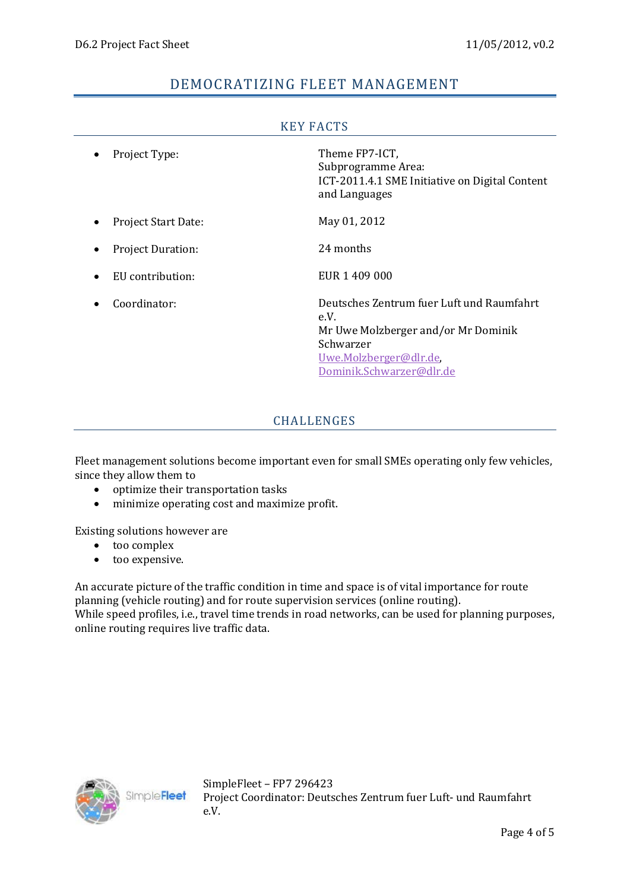## DEMOCRATIZING FLEET MANAGEMENT

| KEY FAUIS                  |                                                                                                                                                             |  |
|----------------------------|-------------------------------------------------------------------------------------------------------------------------------------------------------------|--|
| Project Type:              | Theme FP7-ICT,<br>Subprogramme Area:<br>ICT-2011.4.1 SME Initiative on Digital Content<br>and Languages                                                     |  |
| <b>Project Start Date:</b> | May 01, 2012                                                                                                                                                |  |
| <b>Project Duration:</b>   | 24 months                                                                                                                                                   |  |
| EU contribution:           | EUR 1 409 000                                                                                                                                               |  |
| Coordinator:               | Deutsches Zentrum fuer Luft und Raumfahrt<br>e.V.<br>Mr Uwe Molzberger and/or Mr Dominik<br>Schwarzer<br>Uwe.Molzberger@dlr.de,<br>Dominik.Schwarzer@dlr.de |  |

## KEY FACTS

#### CHALLENGES

Fleet management solutions become important even for small SMEs operating only few vehicles, since they allow them to

- optimize their transportation tasks<br>• minimize operating cost and maxim
- minimize operating cost and maximize profit.

Existing solutions however are

- too complex
- too expensive.

An accurate picture of the traffic condition in time and space is of vital importance for route planning (vehicle routing) and for route supervision services (online routing). While speed profiles, i.e., travel time trends in road networks, can be used for planning purposes, online routing requires live traffic data.



SimpleFleet – FP7 296423 Project Coordinator: Deutsches Zentrum fuer Luft- und Raumfahrt e.V.